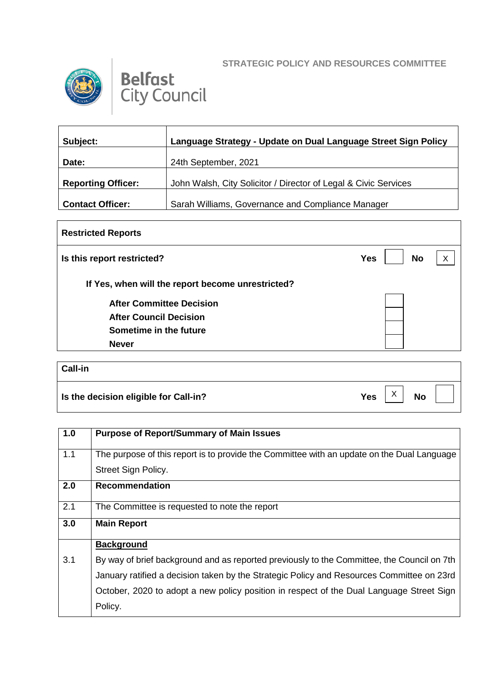## **STRATEGIC POLICY AND RESOURCES COMMITTEE**



## **Belfast**<br>City Council

| Subject:                  | Language Strategy - Update on Dual Language Street Sign Policy  |
|---------------------------|-----------------------------------------------------------------|
| Date:                     | 24th September, 2021                                            |
|                           |                                                                 |
| <b>Reporting Officer:</b> | John Walsh, City Solicitor / Director of Legal & Civic Services |
|                           |                                                                 |
| <b>Contact Officer:</b>   | Sarah Williams, Governance and Compliance Manager               |

| <b>Restricted Reports</b>                         |                         |   |
|---------------------------------------------------|-------------------------|---|
| Is this report restricted?                        | <b>No</b><br><b>Yes</b> | X |
| If Yes, when will the report become unrestricted? |                         |   |
| <b>After Committee Decision</b>                   |                         |   |
| <b>After Council Decision</b>                     |                         |   |
| Sometime in the future                            |                         |   |
| <b>Never</b>                                      |                         |   |
|                                                   |                         |   |
| Call-in                                           |                         |   |
|                                                   |                         |   |

| Is the decision eligible for Call-in? |  |  | Yes $X \mid X$ No $\mid \cdot \mid$ |  |  |
|---------------------------------------|--|--|-------------------------------------|--|--|
|---------------------------------------|--|--|-------------------------------------|--|--|

| 1.0 | <b>Purpose of Report/Summary of Main Issues</b>                                            |
|-----|--------------------------------------------------------------------------------------------|
| 1.1 | The purpose of this report is to provide the Committee with an update on the Dual Language |
|     | Street Sign Policy.                                                                        |
| 2.0 | <b>Recommendation</b>                                                                      |
| 2.1 | The Committee is requested to note the report                                              |
| 3.0 | <b>Main Report</b>                                                                         |
|     | <b>Background</b>                                                                          |
| 3.1 | By way of brief background and as reported previously to the Committee, the Council on 7th |
|     | January ratified a decision taken by the Strategic Policy and Resources Committee on 23rd  |
|     | October, 2020 to adopt a new policy position in respect of the Dual Language Street Sign   |
|     | Policy.                                                                                    |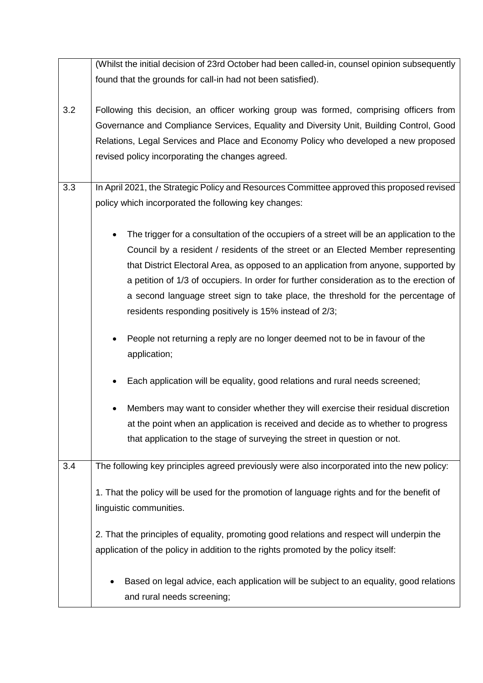|     | (Whilst the initial decision of 23rd October had been called-in, counsel opinion subsequently          |
|-----|--------------------------------------------------------------------------------------------------------|
|     | found that the grounds for call-in had not been satisfied).                                            |
|     |                                                                                                        |
| 3.2 | Following this decision, an officer working group was formed, comprising officers from                 |
|     | Governance and Compliance Services, Equality and Diversity Unit, Building Control, Good                |
|     |                                                                                                        |
|     | Relations, Legal Services and Place and Economy Policy who developed a new proposed                    |
|     | revised policy incorporating the changes agreed.                                                       |
|     |                                                                                                        |
| 3.3 | In April 2021, the Strategic Policy and Resources Committee approved this proposed revised             |
|     | policy which incorporated the following key changes:                                                   |
|     |                                                                                                        |
|     | The trigger for a consultation of the occupiers of a street will be an application to the<br>$\bullet$ |
|     | Council by a resident / residents of the street or an Elected Member representing                      |
|     | that District Electoral Area, as opposed to an application from anyone, supported by                   |
|     |                                                                                                        |
|     | a petition of 1/3 of occupiers. In order for further consideration as to the erection of               |
|     | a second language street sign to take place, the threshold for the percentage of                       |
|     | residents responding positively is 15% instead of 2/3;                                                 |
|     |                                                                                                        |
|     | People not returning a reply are no longer deemed not to be in favour of the                           |
|     | application;                                                                                           |
|     |                                                                                                        |
|     | Each application will be equality, good relations and rural needs screened;                            |
|     | Members may want to consider whether they will exercise their residual discretion                      |
|     | at the point when an application is received and decide as to whether to progress                      |
|     | that application to the stage of surveying the street in question or not.                              |
|     |                                                                                                        |
| 3.4 | The following key principles agreed previously were also incorporated into the new policy:             |
|     |                                                                                                        |
|     | 1. That the policy will be used for the promotion of language rights and for the benefit of            |
|     | linguistic communities.                                                                                |
|     |                                                                                                        |
|     | 2. That the principles of equality, promoting good relations and respect will underpin the             |
|     | application of the policy in addition to the rights promoted by the policy itself:                     |
|     |                                                                                                        |
|     | Based on legal advice, each application will be subject to an equality, good relations                 |
|     | and rural needs screening;                                                                             |
|     |                                                                                                        |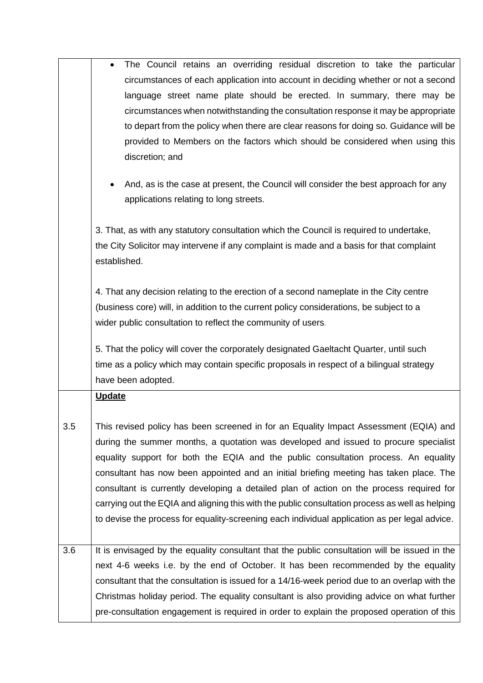|     | The Council retains an overriding residual discretion to take the particular<br>circumstances of each application into account in deciding whether or not a second<br>language street name plate should be erected. In summary, there may be<br>circumstances when notwithstanding the consultation response it may be appropriate<br>to depart from the policy when there are clear reasons for doing so. Guidance will be<br>provided to Members on the factors which should be considered when using this                                                                                                                                                   |
|-----|----------------------------------------------------------------------------------------------------------------------------------------------------------------------------------------------------------------------------------------------------------------------------------------------------------------------------------------------------------------------------------------------------------------------------------------------------------------------------------------------------------------------------------------------------------------------------------------------------------------------------------------------------------------|
|     | discretion; and<br>And, as is the case at present, the Council will consider the best approach for any                                                                                                                                                                                                                                                                                                                                                                                                                                                                                                                                                         |
|     | applications relating to long streets.<br>3. That, as with any statutory consultation which the Council is required to undertake,<br>the City Solicitor may intervene if any complaint is made and a basis for that complaint<br>established.                                                                                                                                                                                                                                                                                                                                                                                                                  |
|     | 4. That any decision relating to the erection of a second nameplate in the City centre<br>(business core) will, in addition to the current policy considerations, be subject to a<br>wider public consultation to reflect the community of users.                                                                                                                                                                                                                                                                                                                                                                                                              |
|     | 5. That the policy will cover the corporately designated Gaeltacht Quarter, until such<br>time as a policy which may contain specific proposals in respect of a bilingual strategy<br>have been adopted.                                                                                                                                                                                                                                                                                                                                                                                                                                                       |
|     | <b>Update</b>                                                                                                                                                                                                                                                                                                                                                                                                                                                                                                                                                                                                                                                  |
| 3.5 | This revised policy has been screened in for an Equality Impact Assessment (EQIA) and<br>during the summer months, a quotation was developed and issued to procure specialist<br>equality support for both the EQIA and the public consultation process. An equality<br>consultant has now been appointed and an initial briefing meeting has taken place. The<br>consultant is currently developing a detailed plan of action on the process required for<br>carrying out the EQIA and aligning this with the public consultation process as well as helping<br>to devise the process for equality-screening each individual application as per legal advice. |
| 3.6 | It is envisaged by the equality consultant that the public consultation will be issued in the<br>next 4-6 weeks i.e. by the end of October. It has been recommended by the equality<br>consultant that the consultation is issued for a 14/16-week period due to an overlap with the<br>Christmas holiday period. The equality consultant is also providing advice on what further<br>pre-consultation engagement is required in order to explain the proposed operation of this                                                                                                                                                                               |